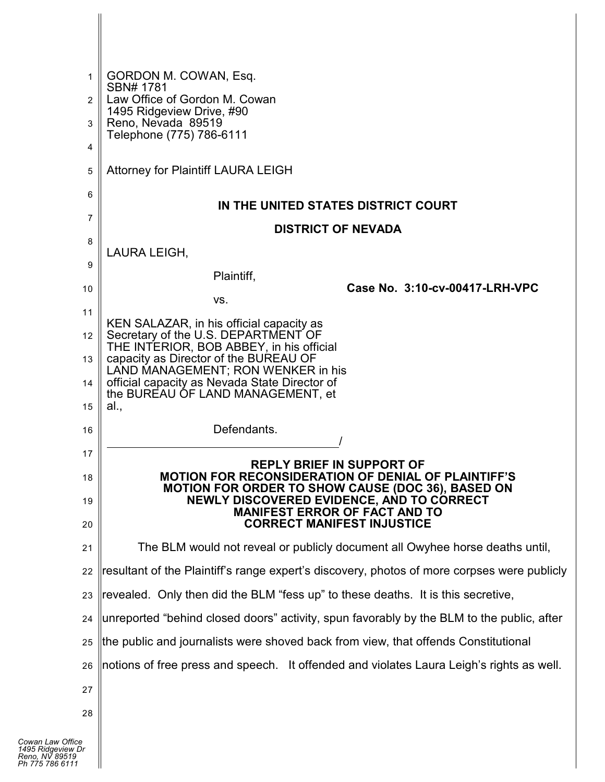| 1<br>$\overline{2}$ | GORDON M. COWAN, Esq.<br>SBN# 1781<br>Law Office of Gordon M. Cowan                                                    |  |
|---------------------|------------------------------------------------------------------------------------------------------------------------|--|
| 3                   | 1495 Ridgeview Drive, #90<br>Reno, Nevada 89519                                                                        |  |
| 4                   | Telephone (775) 786-6111                                                                                               |  |
| 5                   | <b>Attorney for Plaintiff LAURA LEIGH</b>                                                                              |  |
| 6                   |                                                                                                                        |  |
| 7                   | IN THE UNITED STATES DISTRICT COURT<br><b>DISTRICT OF NEVADA</b>                                                       |  |
| 8                   |                                                                                                                        |  |
| 9                   | LAURA LEIGH,                                                                                                           |  |
| 10                  | Plaintiff,<br>Case No. 3:10-cv-00417-LRH-VPC                                                                           |  |
|                     | VS.                                                                                                                    |  |
| 11                  | KEN SALAZAR, in his official capacity as                                                                               |  |
| 12                  | Secretary of the U.S. DEPARTMENT OF<br>THE INTERIOR, BOB ABBEY, in his official                                        |  |
| 13                  | capacity as Director of the BUREAU OF<br>LAND MANAGEMENT; RON WENKER in his                                            |  |
| 14                  | official capacity as Nevada State Director of<br>the BUREAU OF LAND MANAGEMENT, et                                     |  |
| 15                  | al.,                                                                                                                   |  |
| 16                  | Defendants.                                                                                                            |  |
| 17                  | <b>REPLY BRIEF IN SUPPORT OF</b>                                                                                       |  |
| 18                  | <b>MOTION FOR RECONSIDERATION OF DENIAL OF PLAINTIFF'S</b><br><b>MOTION FOR ORDER TO SHOW CAUSE (DOC 36), BASED ON</b> |  |
| 19                  | NEWLY DISCOVERED EVIDENCE, AND TO CORRECT<br><b>MANIFEST ERROR OF FACT AND TO</b><br><b>CORRECT MANIFEST INJUSTICE</b> |  |
| 20                  |                                                                                                                        |  |
| 21                  | The BLM would not reveal or publicly document all Owyhee horse deaths until,                                           |  |
| 22                  | resultant of the Plaintiff's range expert's discovery, photos of more corpses were publicly                            |  |
| 23                  | revealed. Only then did the BLM "fess up" to these deaths. It is this secretive,                                       |  |
| 24                  | unreported "behind closed doors" activity, spun favorably by the BLM to the public, after                              |  |
| 25                  | the public and journalists were shoved back from view, that offends Constitutional                                     |  |
| 26                  | notions of free press and speech. It offended and violates Laura Leigh's rights as well.                               |  |
| 27                  |                                                                                                                        |  |
| 28                  |                                                                                                                        |  |
|                     |                                                                                                                        |  |
| e<br>Dr             |                                                                                                                        |  |
|                     |                                                                                                                        |  |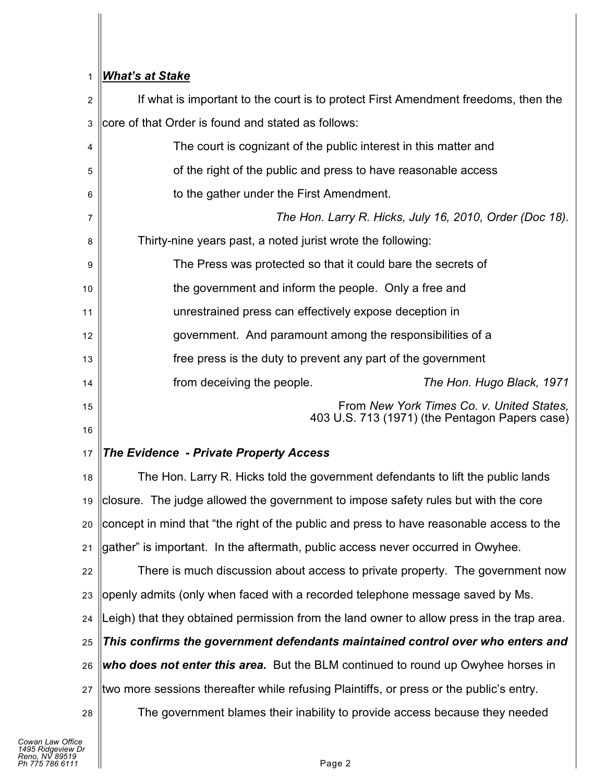# 1 *What's at Stake*

| $\overline{c}$ | If what is important to the court is to protect First Amendment freedoms, then the          |
|----------------|---------------------------------------------------------------------------------------------|
| 3              | core of that Order is found and stated as follows:                                          |
| 4              | The court is cognizant of the public interest in this matter and                            |
| 5              | of the right of the public and press to have reasonable access                              |
| 6              | to the gather under the First Amendment.                                                    |
| 7              | The Hon. Larry R. Hicks, July 16, 2010, Order (Doc 18).                                     |
| 8              | Thirty-nine years past, a noted jurist wrote the following:                                 |
| 9              | The Press was protected so that it could bare the secrets of                                |
| 10             | the government and inform the people. Only a free and                                       |
| 11             | unrestrained press can effectively expose deception in                                      |
| 12             | government. And paramount among the responsibilities of a                                   |
| 13             | free press is the duty to prevent any part of the government                                |
| 14             | from deceiving the people.<br>The Hon. Hugo Black, 1971                                     |
| 15<br>16       | From New York Times Co. v. United States,<br>403 U.S. 713 (1971) (the Pentagon Papers case) |
| 17             | <b>The Evidence - Private Property Access</b>                                               |
| 18             | The Hon. Larry R. Hicks told the government defendants to lift the public lands             |
| 19             | closure. The judge allowed the government to impose safety rules but with the core          |
|                | 20 Concept in mind that "the right of the public and press to have reasonable access to the |
| 21             | gather" is important. In the aftermath, public access never occurred in Owyhee.             |
| 22             | There is much discussion about access to private property. The government now               |
| 23             | openly admits (only when faced with a recorded telephone message saved by Ms.               |
| 24             | Leigh) that they obtained permission from the land owner to allow press in the trap area.   |
| 25             | This confirms the government defendants maintained control over who enters and              |
| 26             | who does not enter this area. But the BLM continued to round up Owyhee horses in            |
| 27             | two more sessions thereafter while refusing Plaintiffs, or press or the public's entry.     |
| 28             | The government blames their inability to provide access because they needed                 |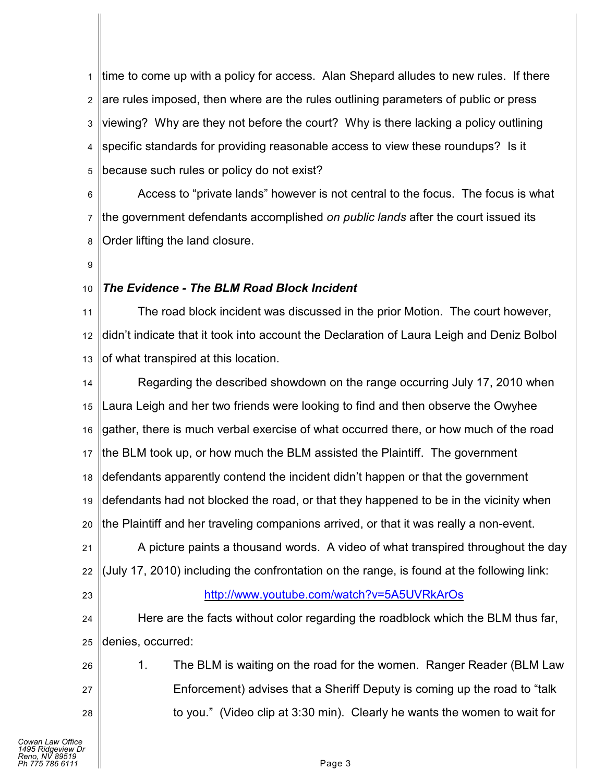1 2 3 4 5 time to come up with a policy for access. Alan Shepard alludes to new rules. If there are rules imposed, then where are the rules outlining parameters of public or press viewing? Why are they not before the court? Why is there lacking a policy outlining specific standards for providing reasonable access to view these roundups? Is it because such rules or policy do not exist?

6 7 8 Access to "private lands" however is not central to the focus. The focus is what the government defendants accomplished *on public lands* after the court issued its Order lifting the land closure.

9

#### 10 *The Evidence - The BLM Road Block Incident*

11 12 13 The road block incident was discussed in the prior Motion. The court however, didn't indicate that it took into account the Declaration of Laura Leigh and Deniz Bolbol of what transpired at this location.

14 15 16 17 18 19 20 Regarding the described showdown on the range occurring July 17, 2010 when Laura Leigh and her two friends were looking to find and then observe the Owyhee gather, there is much verbal exercise of what occurred there, or how much of the road the BLM took up, or how much the BLM assisted the Plaintiff. The government defendants apparently contend the incident didn't happen or that the government defendants had not blocked the road, or that they happened to be in the vicinity when the Plaintiff and her traveling companions arrived, or that it was really a non-event.

21 22 A picture paints a thousand words. A video of what transpired throughout the day (July 17, 2010) including the confrontation on the range, is found at the following link:

23

## <http://www.youtube.com/watch?v=5A5UVRkArOs>

24 25 Here are the facts without color regarding the roadblock which the BLM thus far, denies, occurred:

26 27 28 1. The BLM is waiting on the road for the women. Ranger Reader (BLM Law Enforcement) advises that a Sheriff Deputy is coming up the road to "talk to you." (Video clip at 3:30 min). Clearly he wants the women to wait for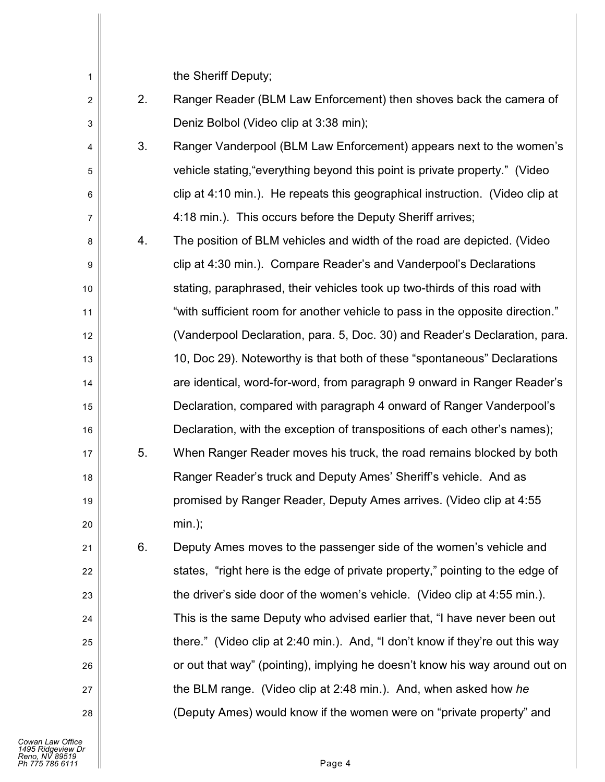the Chariff  $\Gamma$ 

| 1              |    | the Sheriff Deputy;                                                           |
|----------------|----|-------------------------------------------------------------------------------|
| $\overline{2}$ | 2. | Ranger Reader (BLM Law Enforcement) then shoves back the camera of            |
| 3              |    | Deniz Bolbol (Video clip at 3:38 min);                                        |
| 4              | 3. | Ranger Vanderpool (BLM Law Enforcement) appears next to the women's           |
| 5              |    | vehicle stating, "everything beyond this point is private property." (Video   |
| 6              |    | clip at 4:10 min.). He repeats this geographical instruction. (Video clip at  |
| 7              |    | 4:18 min.). This occurs before the Deputy Sheriff arrives;                    |
| 8              | 4. | The position of BLM vehicles and width of the road are depicted. (Video       |
| 9              |    | clip at 4:30 min.). Compare Reader's and Vanderpool's Declarations            |
| 10             |    | stating, paraphrased, their vehicles took up two-thirds of this road with     |
| 11             |    | "with sufficient room for another vehicle to pass in the opposite direction." |
| 12             |    | (Vanderpool Declaration, para. 5, Doc. 30) and Reader's Declaration, para.    |
| 13             |    | 10, Doc 29). Noteworthy is that both of these "spontaneous" Declarations      |
| 14             |    | are identical, word-for-word, from paragraph 9 onward in Ranger Reader's      |
| 15             |    | Declaration, compared with paragraph 4 onward of Ranger Vanderpool's          |
| 16             |    | Declaration, with the exception of transpositions of each other's names);     |
| 17             | 5. | When Ranger Reader moves his truck, the road remains blocked by both          |
| 18             |    | Ranger Reader's truck and Deputy Ames' Sheriff's vehicle. And as              |
| 19             |    | promised by Ranger Reader, Deputy Ames arrives. (Video clip at 4:55           |
| 20             |    | $min.$ );                                                                     |
| 21             | 6. | Deputy Ames moves to the passenger side of the women's vehicle and            |
| 22             |    | states, "right here is the edge of private property," pointing to the edge of |
| 23             |    | the driver's side door of the women's vehicle. (Video clip at 4:55 min.).     |
| 24             |    | This is the same Deputy who advised earlier that, "I have never been out      |
| 25             |    | there." (Video clip at 2:40 min.). And, "I don't know if they're out this way |
| 26             |    | or out that way" (pointing), implying he doesn't know his way around out on   |
| 27             |    | the BLM range. (Video clip at 2:48 min.). And, when asked how he              |
| 28             |    | (Deputy Ames) would know if the women were on "private property" and          |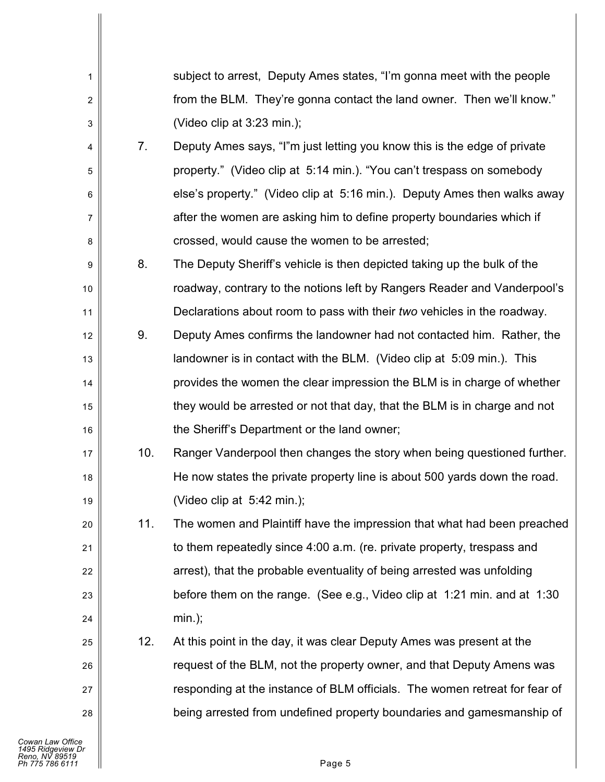| 1              |     | subject to arrest, Deputy Ames states, "I'm gonna meet with the people     |
|----------------|-----|----------------------------------------------------------------------------|
| $\overline{c}$ |     | from the BLM. They're gonna contact the land owner. Then we'll know."      |
| 3              |     | (Video clip at 3:23 min.);                                                 |
| 4              | 7.  | Deputy Ames says, "I"m just letting you know this is the edge of private   |
| 5              |     | property." (Video clip at 5:14 min.). "You can't trespass on somebody      |
| 6              |     | else's property." (Video clip at 5:16 min.). Deputy Ames then walks away   |
| 7              |     | after the women are asking him to define property boundaries which if      |
| 8              |     | crossed, would cause the women to be arrested;                             |
| 9              | 8.  | The Deputy Sheriff's vehicle is then depicted taking up the bulk of the    |
| 10             |     | roadway, contrary to the notions left by Rangers Reader and Vanderpool's   |
| 11             |     | Declarations about room to pass with their two vehicles in the roadway.    |
| 12             | 9.  | Deputy Ames confirms the landowner had not contacted him. Rather, the      |
| 13             |     | landowner is in contact with the BLM. (Video clip at 5:09 min.). This      |
| 14             |     | provides the women the clear impression the BLM is in charge of whether    |
| 15             |     | they would be arrested or not that day, that the BLM is in charge and not  |
| 16             |     | the Sheriff's Department or the land owner;                                |
| 17             | 10. | Ranger Vanderpool then changes the story when being questioned further.    |
| 18             |     | He now states the private property line is about 500 yards down the road.  |
| 19             |     | (Video clip at 5:42 min.);                                                 |
| 20             | 11. | The women and Plaintiff have the impression that what had been preached    |
| 21             |     | to them repeatedly since 4:00 a.m. (re. private property, trespass and     |
| 22             |     | arrest), that the probable eventuality of being arrested was unfolding     |
| 23             |     | before them on the range. (See e.g., Video clip at 1:21 min. and at 1:30   |
| 24             |     | $min.$ );                                                                  |
| 25             | 12. | At this point in the day, it was clear Deputy Ames was present at the      |
| 26             |     | request of the BLM, not the property owner, and that Deputy Amens was      |
| 27             |     | responding at the instance of BLM officials. The women retreat for fear of |
| 28             |     | being arrested from undefined property boundaries and gamesmanship of      |
|                |     |                                                                            |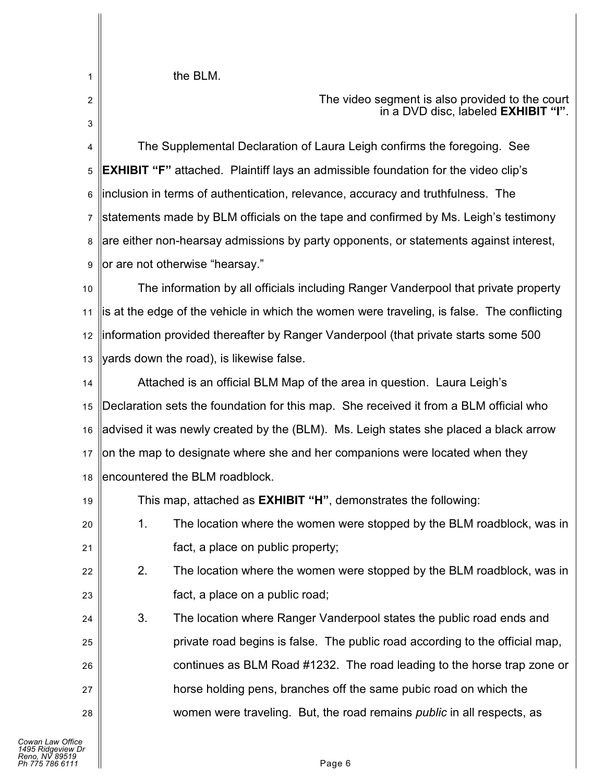| the BLM. |  |
|----------|--|
|----------|--|

1

2

3

19

24

25

26

27

28

The video segment is also provided to the court in a DVD disc, labeled **EXHIBIT "I"**.

4 5 6 7 8 9 The Supplemental Declaration of Laura Leigh confirms the foregoing. See **EXHIBIT "F"** attached. Plaintiff lays an admissible foundation for the video clip's inclusion in terms of authentication, relevance, accuracy and truthfulness. The statements made by BLM officials on the tape and confirmed by Ms. Leigh's testimony are either non-hearsay admissions by party opponents, or statements against interest, or are not otherwise "hearsay."

10 11 12 13 The information by all officials including Ranger Vanderpool that private property is at the edge of the vehicle in which the women were traveling, is false. The conflicting information provided thereafter by Ranger Vanderpool (that private starts some 500 yards down the road), is likewise false.

14 15 16 17 18 Attached is an official BLM Map of the area in question. Laura Leigh's Declaration sets the foundation for this map. She received it from a BLM official who advised it was newly created by the (BLM). Ms. Leigh states she placed a black arrow on the map to designate where she and her companions were located when they encountered the BLM roadblock.

This map, attached as **EXHIBIT "H"**, demonstrates the following:

| 20 <sub>1</sub> | The location where the women were stopped by the BLM roadblock, was in |
|-----------------|------------------------------------------------------------------------|
| 21              | fact, a place on public property;                                      |

22 23 2. The location where the women were stopped by the BLM roadblock, was in fact, a place on a public road;

3. The location where Ranger Vanderpool states the public road ends and private road begins is false. The public road according to the official map, continues as BLM Road #1232. The road leading to the horse trap zone or horse holding pens, branches off the same pubic road on which the women were traveling. But, the road remains *public* in all respects, as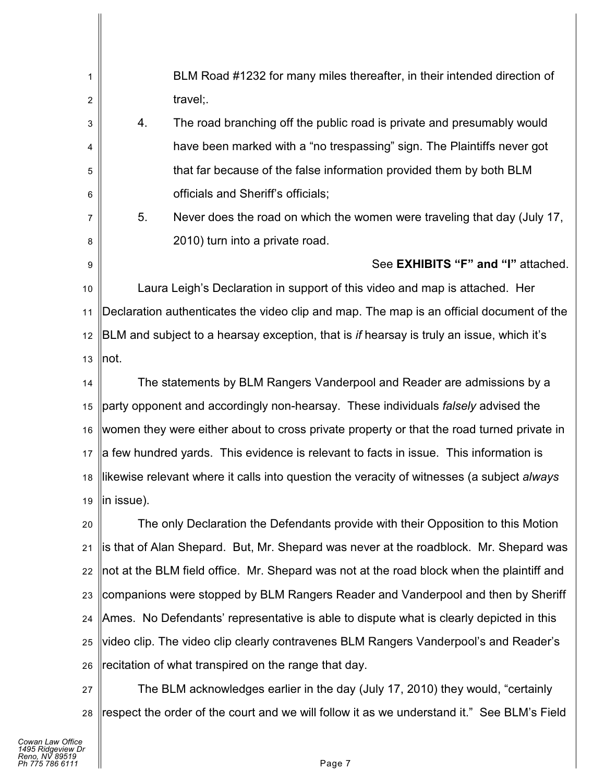1 2 3 4 5 6 7 8 9 10 11 12 13 14 15 16 17 18 19 20 21 22 23 24 BLM Road #1232 for many miles thereafter, in their intended direction of travel;. 4. The road branching off the public road is private and presumably would have been marked with a "no trespassing" sign. The Plaintiffs never got that far because of the false information provided them by both BLM officials and Sheriff's officials; 5. Never does the road on which the women were traveling that day (July 17, 2010) turn into a private road. See **EXHIBITS "F" and "I"** attached. Laura Leigh's Declaration in support of this video and map is attached. Her Declaration authenticates the video clip and map. The map is an official document of the BLM and subject to a hearsay exception, that is *if* hearsay is truly an issue, which it's not. The statements by BLM Rangers Vanderpool and Reader are admissions by a party opponent and accordingly non-hearsay. These individuals *falsely* advised the women they were either about to cross private property or that the road turned private in a few hundred yards. This evidence is relevant to facts in issue. This information is likewise relevant where it calls into question the veracity of witnesses (a subject *always*  in issue). The only Declaration the Defendants provide with their Opposition to this Motion is that of Alan Shepard. But, Mr. Shepard was never at the roadblock. Mr. Shepard was not at the BLM field office. Mr. Shepard was not at the road block when the plaintiff and companions were stopped by BLM Rangers Reader and Vanderpool and then by Sheriff Ames. No Defendants' representative is able to dispute what is clearly depicted in this

25 26 video clip. The video clip clearly contravenes BLM Rangers Vanderpool's and Reader's recitation of what transpired on the range that day.

27 28 The BLM acknowledges earlier in the day (July 17, 2010) they would, "certainly respect the order of the court and we will follow it as we understand it." See BLM's Field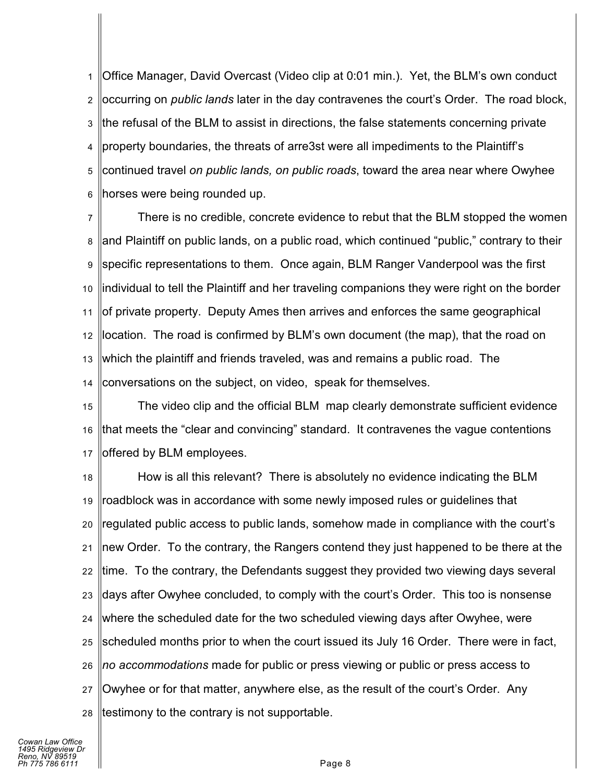1 2 3 4 5 6 Office Manager, David Overcast (Video clip at 0:01 min.). Yet, the BLM's own conduct occurring on *public lands* later in the day contravenes the court's Order. The road block, the refusal of the BLM to assist in directions, the false statements concerning private property boundaries, the threats of arre3st were all impediments to the Plaintiff's continued travel *on public lands, on public roads*, toward the area near where Owyhee horses were being rounded up.

7 8 9 10 11 12 13 14 There is no credible, concrete evidence to rebut that the BLM stopped the women and Plaintiff on public lands, on a public road, which continued "public," contrary to their specific representations to them. Once again, BLM Ranger Vanderpool was the first individual to tell the Plaintiff and her traveling companions they were right on the border of private property. Deputy Ames then arrives and enforces the same geographical location. The road is confirmed by BLM's own document (the map), that the road on which the plaintiff and friends traveled, was and remains a public road. The conversations on the subject, on video, speak for themselves.

15 16 17 The video clip and the official BLM map clearly demonstrate sufficient evidence that meets the "clear and convincing" standard. It contravenes the vague contentions offered by BLM employees.

18 19 20 21 22 23 24 25 26 27 28 How is all this relevant? There is absolutely no evidence indicating the BLM roadblock was in accordance with some newly imposed rules or guidelines that regulated public access to public lands, somehow made in compliance with the court's new Order. To the contrary, the Rangers contend they just happened to be there at the time. To the contrary, the Defendants suggest they provided two viewing days several days after Owyhee concluded, to comply with the court's Order. This too is nonsense where the scheduled date for the two scheduled viewing days after Owyhee, were scheduled months prior to when the court issued its July 16 Order. There were in fact, *no accommodations* made for public or press viewing or public or press access to Owyhee or for that matter, anywhere else, as the result of the court's Order. Any testimony to the contrary is not supportable.

*Cowan Law Office 1495 Ridgeview Dr Reno, NV 89519 Ph 775 786 6111* Page 8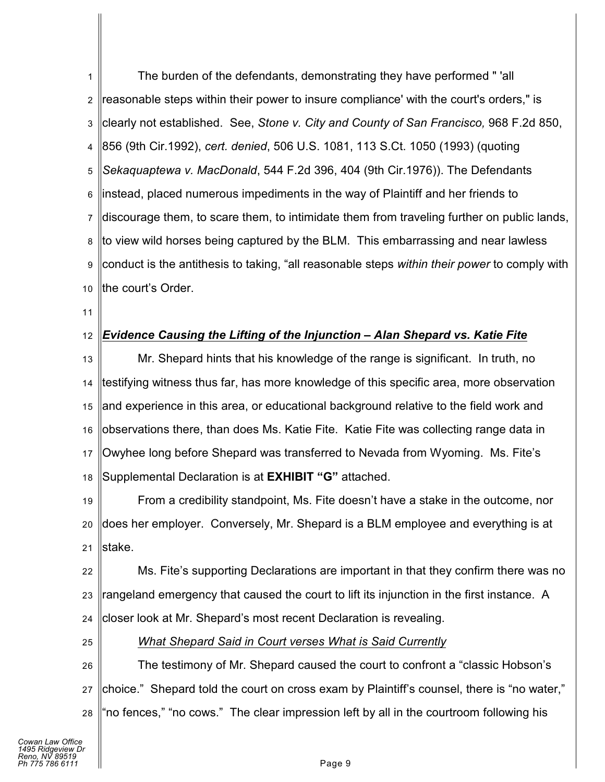1 2 3 4 5 6 7 8 9 10 The burden of the defendants, demonstrating they have performed " 'all reasonable steps within their power to insure compliance' with the court's orders," is clearly not established. See, *Stone v. City and County of San Francisco,* 968 F.2d 850, 856 (9th Cir.1992), *cert. denied*, 506 U.S. 1081, 113 S.Ct. 1050 (1993) (quoting *Sekaquaptewa v. MacDonald*, 544 F.2d 396, 404 (9th Cir.1976)). The Defendants instead, placed numerous impediments in the way of Plaintiff and her friends to discourage them, to scare them, to intimidate them from traveling further on public lands, to view wild horses being captured by the BLM. This embarrassing and near lawless conduct is the antithesis to taking, "all reasonable steps *within their power* to comply with the court's Order.

11

#### 12 *Evidence Causing the Lifting of the Injunction – Alan Shepard vs. Katie Fite*

13 14 15 16 17 18 Mr. Shepard hints that his knowledge of the range is significant. In truth, no testifying witness thus far, has more knowledge of this specific area, more observation and experience in this area, or educational background relative to the field work and observations there, than does Ms. Katie Fite. Katie Fite was collecting range data in Owyhee long before Shepard was transferred to Nevada from Wyoming. Ms. Fite's Supplemental Declaration is at **EXHIBIT "G"** attached.

19 20 21 From a credibility standpoint, Ms. Fite doesn't have a stake in the outcome, nor does her employer. Conversely, Mr. Shepard is a BLM employee and everything is at stake.

22 23 24 Ms. Fite's supporting Declarations are important in that they confirm there was no rangeland emergency that caused the court to lift its injunction in the first instance. A closer look at Mr. Shepard's most recent Declaration is revealing.

25

#### *What Shepard Said in Court verses What is Said Currently*

26 27 28 The testimony of Mr. Shepard caused the court to confront a "classic Hobson's choice." Shepard told the court on cross exam by Plaintiff's counsel, there is "no water," "no fences," "no cows." The clear impression left by all in the courtroom following his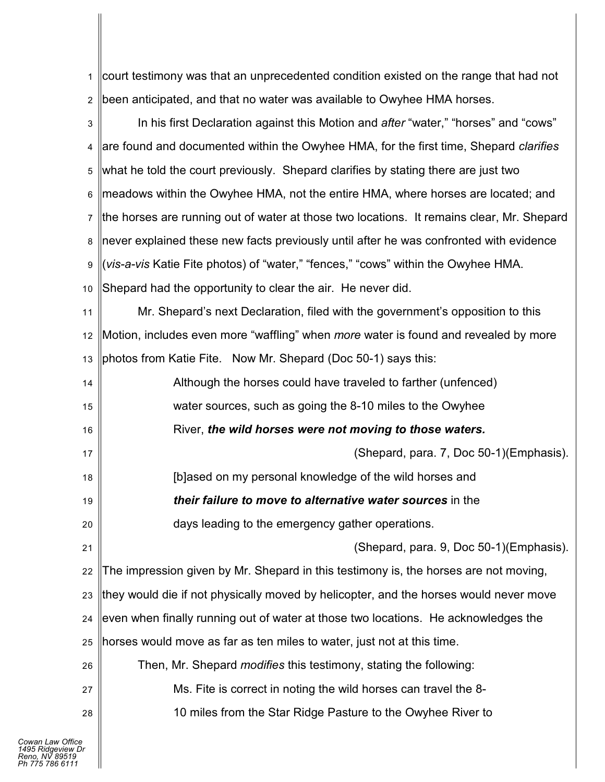1 2 court testimony was that an unprecedented condition existed on the range that had not been anticipated, and that no water was available to Owyhee HMA horses.

| 3  | In his first Declaration against this Motion and after "water," "horses" and "cows"        |
|----|--------------------------------------------------------------------------------------------|
| 4  | are found and documented within the Owyhee HMA, for the first time, Shepard clarifies      |
| 5  | what he told the court previously. Shepard clarifies by stating there are just two         |
| 6  | meadows within the Owyhee HMA, not the entire HMA, where horses are located; and           |
| 7  | the horses are running out of water at those two locations. It remains clear, Mr. Shepard  |
| 8  | never explained these new facts previously until after he was confronted with evidence     |
| 9  | (vis-a-vis Katie Fite photos) of "water," "fences," "cows" within the Owyhee HMA.          |
| 10 | Shepard had the opportunity to clear the air. He never did.                                |
| 11 | Mr. Shepard's next Declaration, filed with the government's opposition to this             |
| 12 | Motion, includes even more "waffling" when <i>more</i> water is found and revealed by more |
| 13 | photos from Katie Fite. Now Mr. Shepard (Doc 50-1) says this:                              |
| 14 | Although the horses could have traveled to farther (unfenced)                              |
| 15 | water sources, such as going the 8-10 miles to the Owyhee                                  |
|    |                                                                                            |
| 16 | River, the wild horses were not moving to those waters.                                    |
| 17 | (Shepard, para. 7, Doc 50-1) (Emphasis).                                                   |
| 18 | [b]ased on my personal knowledge of the wild horses and                                    |
| 19 | their failure to move to alternative water sources in the                                  |
| 20 | days leading to the emergency gather operations.                                           |
| 21 | (Shepard, para. 9, Doc 50-1) (Emphasis).                                                   |
| 22 | The impression given by Mr. Shepard in this testimony is, the horses are not moving,       |
| 23 | they would die if not physically moved by helicopter, and the horses would never move      |
| 24 | even when finally running out of water at those two locations. He acknowledges the         |
| 25 | horses would move as far as ten miles to water, just not at this time.                     |
| 26 | Then, Mr. Shepard <i>modifies</i> this testimony, stating the following:                   |
| 27 | Ms. Fite is correct in noting the wild horses can travel the 8-                            |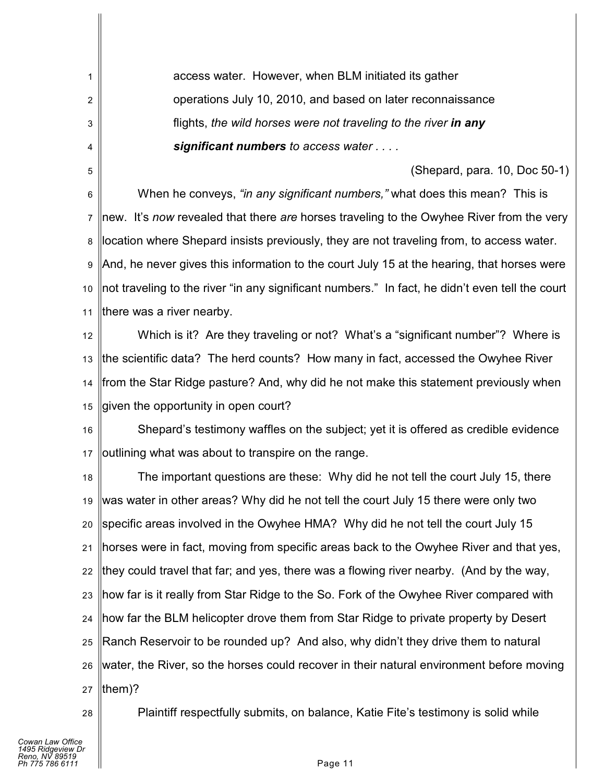access water. However, when BLM initiated its gather operations July 10, 2010, and based on later reconnaissance flights, *the wild horses were not traveling to the river in any significant numbers to access water . . . .*

(Shepard, para. 10, Doc 50-1)

6 7 8 9 10 11 When he conveys, *"in any significant numbers,"* what does this mean? This is new. It's *now* revealed that there *are* horses traveling to the Owyhee River from the very location where Shepard insists previously, they are not traveling from, to access water. And, he never gives this information to the court July 15 at the hearing, that horses were not traveling to the river "in any significant numbers." In fact, he didn't even tell the court there was a river nearby.

12 13 14 15 Which is it? Are they traveling or not? What's a "significant number"? Where is the scientific data? The herd counts? How many in fact, accessed the Owyhee River from the Star Ridge pasture? And, why did he not make this statement previously when given the opportunity in open court?

16 17 Shepard's testimony waffles on the subject; yet it is offered as credible evidence outlining what was about to transpire on the range.

18 19 20 21 22 23 24 25 26 27 The important questions are these: Why did he not tell the court July 15, there was water in other areas? Why did he not tell the court July 15 there were only two specific areas involved in the Owyhee HMA? Why did he not tell the court July 15 horses were in fact, moving from specific areas back to the Owyhee River and that yes, they could travel that far; and yes, there was a flowing river nearby. (And by the way, how far is it really from Star Ridge to the So. Fork of the Owyhee River compared with how far the BLM helicopter drove them from Star Ridge to private property by Desert Ranch Reservoir to be rounded up? And also, why didn't they drive them to natural water, the River, so the horses could recover in their natural environment before moving them)?

28

1

2

3

4

5

Plaintiff respectfully submits, on balance, Katie Fite's testimony is solid while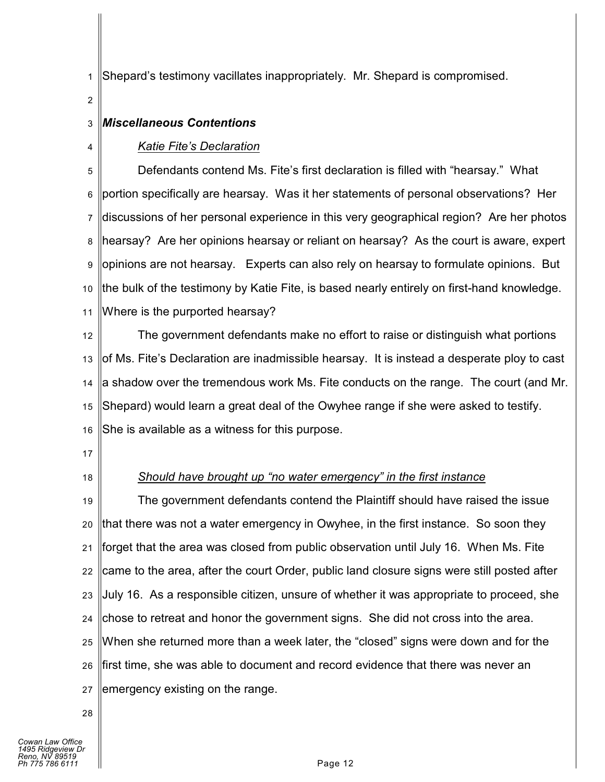1 Shepard's testimony vacillates inappropriately. Mr. Shepard is compromised.

2

4

#### 3 *Miscellaneous Contentions*

## *Katie Fite's Declaration*

5 6 7 8 9 10 11 Defendants contend Ms. Fite's first declaration is filled with "hearsay." What portion specifically are hearsay. Was it her statements of personal observations? Her discussions of her personal experience in this very geographical region? Are her photos hearsay? Are her opinions hearsay or reliant on hearsay? As the court is aware, expert opinions are not hearsay. Experts can also rely on hearsay to formulate opinions. But the bulk of the testimony by Katie Fite, is based nearly entirely on first-hand knowledge. Where is the purported hearsay?

12 13 14 15 16 The government defendants make no effort to raise or distinguish what portions of Ms. Fite's Declaration are inadmissible hearsay. It is instead a desperate ploy to cast a shadow over the tremendous work Ms. Fite conducts on the range. The court (and Mr. Shepard) would learn a great deal of the Owyhee range if she were asked to testify. She is available as a witness for this purpose.

- 17
- 18

# *Should have brought up "no water emergency" in the first instance*

19 20 21 22 23 24 25 26 27 The government defendants contend the Plaintiff should have raised the issue that there was not a water emergency in Owyhee, in the first instance. So soon they forget that the area was closed from public observation until July 16. When Ms. Fite came to the area, after the court Order, public land closure signs were still posted after July 16. As a responsible citizen, unsure of whether it was appropriate to proceed, she chose to retreat and honor the government signs. She did not cross into the area. When she returned more than a week later, the "closed" signs were down and for the first time, she was able to document and record evidence that there was never an emergency existing on the range.

28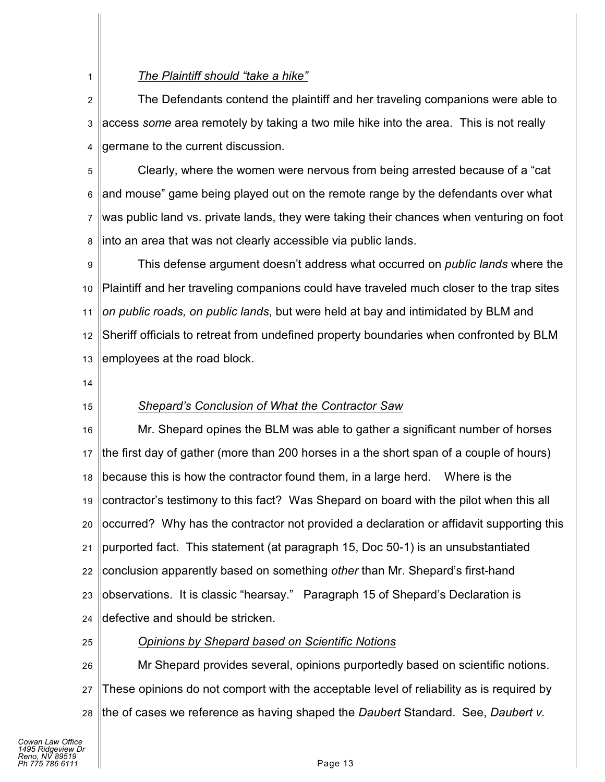## *The Plaintiff should "take a hike"*

2 3 4 The Defendants contend the plaintiff and her traveling companions were able to access *some* area remotely by taking a two mile hike into the area. This is not really germane to the current discussion.

5 6 7 8 Clearly, where the women were nervous from being arrested because of a "cat and mouse" game being played out on the remote range by the defendants over what was public land vs. private lands, they were taking their chances when venturing on foot into an area that was not clearly accessible via public lands.

9 10 11 12 13 This defense argument doesn't address what occurred on *public lands* where the Plaintiff and her traveling companions could have traveled much closer to the trap sites *on public roads, on public lands*, but were held at bay and intimidated by BLM and Sheriff officials to retreat from undefined property boundaries when confronted by BLM employees at the road block.

14

1

15

## *Shepard's Conclusion of What the Contractor Saw*

16 17 18 19 20 21 22 23 24 Mr. Shepard opines the BLM was able to gather a significant number of horses the first day of gather (more than 200 horses in a the short span of a couple of hours) because this is how the contractor found them, in a large herd. Where is the contractor's testimony to this fact? Was Shepard on board with the pilot when this all occurred? Why has the contractor not provided a declaration or affidavit supporting this purported fact. This statement (at paragraph 15, Doc 50-1) is an unsubstantiated conclusion apparently based on something *other* than Mr. Shepard's first-hand observations. It is classic "hearsay." Paragraph 15 of Shepard's Declaration is defective and should be stricken.

25

## *Opinions by Shepard based on Scientific Notions*

26 27 28 Mr Shepard provides several, opinions purportedly based on scientific notions. These opinions do not comport with the acceptable level of reliability as is required by the of cases we reference as having shaped the *Daubert* Standard. See, *Daubert v.*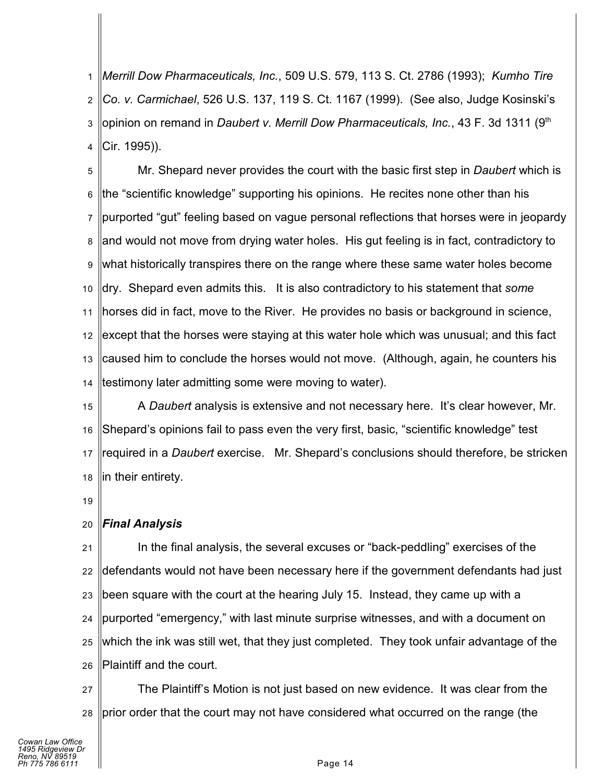1 2 3 4 *Merrill Dow Pharmaceuticals, Inc.*, 509 U.S. 579, 113 S. Ct. 2786 (1993); *Kumho Tire Co. v. Carmichael*, 526 U.S. 137, 119 S. Ct. 1167 (1999). (See also, Judge Kosinski's opinion on remand in *Daubert v. Merrill Dow Pharmaceuticals, Inc.*, 43 F. 3d 1311 (9<sup>th</sup> Cir. 1995)).

5 6 7 8 9 10 11 12 13 14 Mr. Shepard never provides the court with the basic first step in *Daubert* which is the "scientific knowledge" supporting his opinions. He recites none other than his purported "gut" feeling based on vague personal reflections that horses were in jeopardy and would not move from drying water holes. His gut feeling is in fact, contradictory to what historically transpires there on the range where these same water holes become dry. Shepard even admits this. It is also contradictory to his statement that *some* horses did in fact, move to the River. He provides no basis or background in science, except that the horses were staying at this water hole which was unusual; and this fact caused him to conclude the horses would not move. (Although, again, he counters his testimony later admitting some were moving to water).

15 16 17 18 A *Daubert* analysis is extensive and not necessary here. It's clear however, Mr. Shepard's opinions fail to pass even the very first, basic, "scientific knowledge" test required in a *Daubert* exercise. Mr. Shepard's conclusions should therefore, be stricken in their entirety.

19

#### 20 *Final Analysis*

21 22 23 24 25 26 In the final analysis, the several excuses or "back-peddling" exercises of the defendants would not have been necessary here if the government defendants had just been square with the court at the hearing July 15. Instead, they came up with a purported "emergency," with last minute surprise witnesses, and with a document on which the ink was still wet, that they just completed. They took unfair advantage of the Plaintiff and the court.

27 28 The Plaintiff's Motion is not just based on new evidence. It was clear from the prior order that the court may not have considered what occurred on the range (the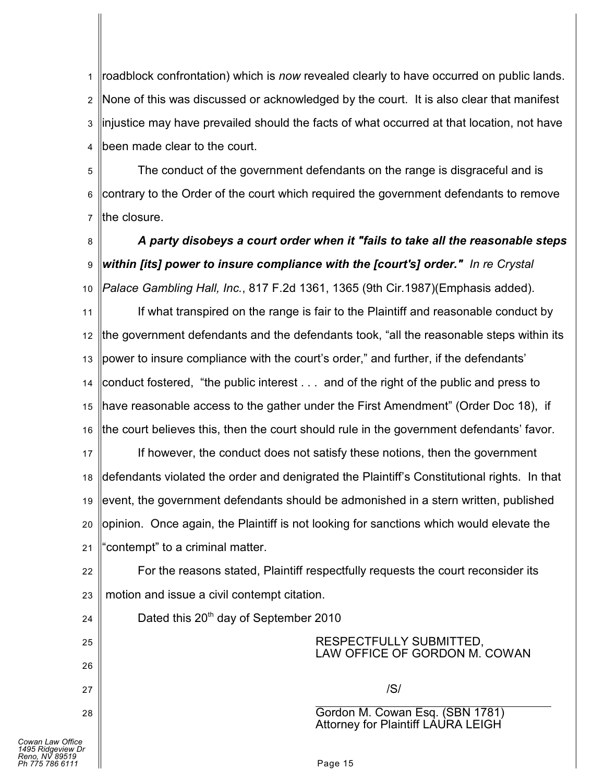1 2 3 4 roadblock confrontation) which is *now* revealed clearly to have occurred on public lands. None of this was discussed or acknowledged by the court. It is also clear that manifest injustice may have prevailed should the facts of what occurred at that location, not have been made clear to the court.

5 6 7 The conduct of the government defendants on the range is disgraceful and is contrary to the Order of the court which required the government defendants to remove the closure.

8 9 10 *A party disobeys a court order when it "fails to take all the reasonable steps within [its] power to insure compliance with the [court's] order." In re Crystal Palace Gambling Hall, Inc.*, 817 F.2d 1361, 1365 (9th Cir.1987)(Emphasis added).

11 12 13 14 15 16 If what transpired on the range is fair to the Plaintiff and reasonable conduct by the government defendants and the defendants took, "all the reasonable steps within its power to insure compliance with the court's order," and further, if the defendants' conduct fostered, "the public interest . . . and of the right of the public and press to have reasonable access to the gather under the First Amendment" (Order Doc 18), if the court believes this, then the court should rule in the government defendants' favor.

17 18 19 20 21 If however, the conduct does not satisfy these notions, then the government defendants violated the order and denigrated the Plaintiff's Constitutional rights. In that event, the government defendants should be admonished in a stern written, published opinion. Once again, the Plaintiff is not looking for sanctions which would elevate the "contempt" to a criminal matter.

22 23 For the reasons stated, Plaintiff respectfully requests the court reconsider its motion and issue a civil contempt citation.

24

25

26

27

28

Dated this 20<sup>th</sup> day of September 2010

RESPECTFULLY SUBMITTED, LAW OFFICE OF GORDON M. COWAN

/S/

 $\overline{a}$ Gordon M. Cowan Esq. (SBN 1781) Attorney for Plaintiff LAURA LEIGH

*Cowan Law Office 1495 Ridgeview Dr Reno, NV 89519 Ph 775 786 6111* Page 15